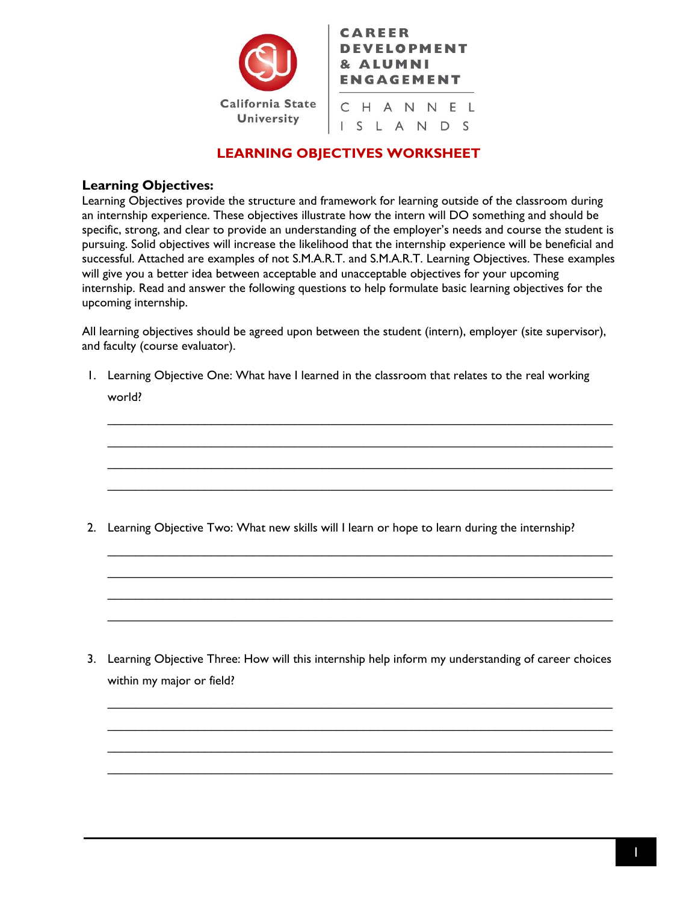

## **LEARNING OBJECTIVES WORKSHEET**

#### **Learning Objectives:**

Learning Objectives provide the structure and framework for learning outside of the classroom during an internship experience. These objectives illustrate how the intern will DO something and should be specific, strong, and clear to provide an understanding of the employer's needs and course the student is pursuing. Solid objectives will increase the likelihood that the internship experience will be beneficial and successful. Attached are examples of not S.M.A.R.T. and S.M.A.R.T. Learning Objectives. These examples will give you a better idea between acceptable and unacceptable objectives for your upcoming internship. Read and answer the following questions to help formulate basic learning objectives for the upcoming internship.

All learning objectives should be agreed upon between the student (intern), employer (site supervisor), and faculty (course evaluator).

1. Learning Objective One: What have I learned in the classroom that relates to the real working world?

 $\_$  $\mathcal{L}_\text{max}$  and  $\mathcal{L}_\text{max}$  and  $\mathcal{L}_\text{max}$  and  $\mathcal{L}_\text{max}$  and  $\mathcal{L}_\text{max}$  and  $\mathcal{L}_\text{max}$  $\mathcal{L}_\mathcal{L} = \{ \mathcal{L}_\mathcal{L} = \{ \mathcal{L}_\mathcal{L} = \{ \mathcal{L}_\mathcal{L} = \{ \mathcal{L}_\mathcal{L} = \{ \mathcal{L}_\mathcal{L} = \{ \mathcal{L}_\mathcal{L} = \{ \mathcal{L}_\mathcal{L} = \{ \mathcal{L}_\mathcal{L} = \{ \mathcal{L}_\mathcal{L} = \{ \mathcal{L}_\mathcal{L} = \{ \mathcal{L}_\mathcal{L} = \{ \mathcal{L}_\mathcal{L} = \{ \mathcal{L}_\mathcal{L} = \{ \mathcal{L}_\mathcal{$  $\mathcal{L}_\text{max}$  and  $\mathcal{L}_\text{max}$  and  $\mathcal{L}_\text{max}$  and  $\mathcal{L}_\text{max}$  and  $\mathcal{L}_\text{max}$  and  $\mathcal{L}_\text{max}$ 

 $\mathcal{L}_\text{max}$  and  $\mathcal{L}_\text{max}$  and  $\mathcal{L}_\text{max}$  and  $\mathcal{L}_\text{max}$  and  $\mathcal{L}_\text{max}$  and  $\mathcal{L}_\text{max}$  $\mathcal{L}_\text{max}$  and  $\mathcal{L}_\text{max}$  and  $\mathcal{L}_\text{max}$  and  $\mathcal{L}_\text{max}$  and  $\mathcal{L}_\text{max}$  and  $\mathcal{L}_\text{max}$  $\mathcal{L}_\text{max}$  and  $\mathcal{L}_\text{max}$  and  $\mathcal{L}_\text{max}$  and  $\mathcal{L}_\text{max}$  and  $\mathcal{L}_\text{max}$  and  $\mathcal{L}_\text{max}$  $\mathcal{L}_\text{max}$  and  $\mathcal{L}_\text{max}$  and  $\mathcal{L}_\text{max}$  and  $\mathcal{L}_\text{max}$  and  $\mathcal{L}_\text{max}$  and  $\mathcal{L}_\text{max}$ 

2. Learning Objective Two: What new skills will I learn or hope to learn during the internship?

3. Learning Objective Three: How will this internship help inform my understanding of career choices within my major or field?

 $\mathcal{L}_\text{max}$  and  $\mathcal{L}_\text{max}$  and  $\mathcal{L}_\text{max}$  and  $\mathcal{L}_\text{max}$  and  $\mathcal{L}_\text{max}$  and  $\mathcal{L}_\text{max}$  $\mathcal{L}_\text{max}$  and  $\mathcal{L}_\text{max}$  and  $\mathcal{L}_\text{max}$  and  $\mathcal{L}_\text{max}$  and  $\mathcal{L}_\text{max}$  and  $\mathcal{L}_\text{max}$  $\mathcal{L}_\text{max}$  and  $\mathcal{L}_\text{max}$  and  $\mathcal{L}_\text{max}$  and  $\mathcal{L}_\text{max}$  and  $\mathcal{L}_\text{max}$  and  $\mathcal{L}_\text{max}$  $\mathcal{L}_\text{max}$  and  $\mathcal{L}_\text{max}$  and  $\mathcal{L}_\text{max}$  and  $\mathcal{L}_\text{max}$  and  $\mathcal{L}_\text{max}$  and  $\mathcal{L}_\text{max}$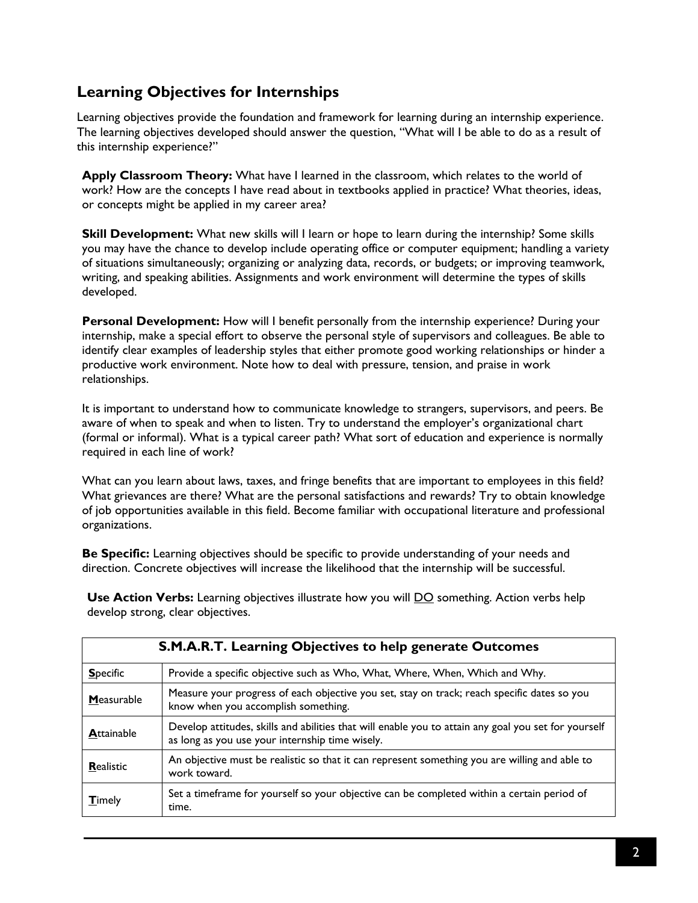# **Learning Objectives for Internships**

Learning objectives provide the foundation and framework for learning during an internship experience. The learning objectives developed should answer the question, "What will I be able to do as a result of this internship experience?"

**Apply Classroom Theory:** What have I learned in the classroom, which relates to the world of work? How are the concepts I have read about in textbooks applied in practice? What theories, ideas, or concepts might be applied in my career area?

**Skill Development:** What new skills will I learn or hope to learn during the internship? Some skills you may have the chance to develop include operating office or computer equipment; handling a variety of situations simultaneously; organizing or analyzing data, records, or budgets; or improving teamwork, writing, and speaking abilities. Assignments and work environment will determine the types of skills developed.

**Personal Development:** How will I benefit personally from the internship experience? During your internship, make a special effort to observe the personal style of supervisors and colleagues. Be able to identify clear examples of leadership styles that either promote good working relationships or hinder a productive work environment. Note how to deal with pressure, tension, and praise in work relationships.

It is important to understand how to communicate knowledge to strangers, supervisors, and peers. Be aware of when to speak and when to listen. Try to understand the employer's organizational chart (formal or informal). What is a typical career path? What sort of education and experience is normally required in each line of work?

What can you learn about laws, taxes, and fringe benefits that are important to employees in this field? What grievances are there? What are the personal satisfactions and rewards? Try to obtain knowledge of job opportunities available in this field. Become familiar with occupational literature and professional organizations.

**Be Specific:** Learning objectives should be specific to provide understanding of your needs and direction. Concrete objectives will increase the likelihood that the internship will be successful.

**Use Action Verbs:** Learning objectives illustrate how you will **DO** something. Action verbs help develop strong, clear objectives.

| <b>S.M.A.R.T. Learning Objectives to help generate Outcomes</b> |                                                                                                                                                         |  |
|-----------------------------------------------------------------|---------------------------------------------------------------------------------------------------------------------------------------------------------|--|
| <b>Specific</b>                                                 | Provide a specific objective such as Who, What, Where, When, Which and Why.                                                                             |  |
| Measurable                                                      | Measure your progress of each objective you set, stay on track; reach specific dates so you<br>know when you accomplish something.                      |  |
| <b>Attainable</b>                                               | Develop attitudes, skills and abilities that will enable you to attain any goal you set for yourself<br>as long as you use your internship time wisely. |  |
| Realistic                                                       | An objective must be realistic so that it can represent something you are willing and able to<br>work toward.                                           |  |
| <b>T</b> imely                                                  | Set a timeframe for yourself so your objective can be completed within a certain period of<br>time.                                                     |  |